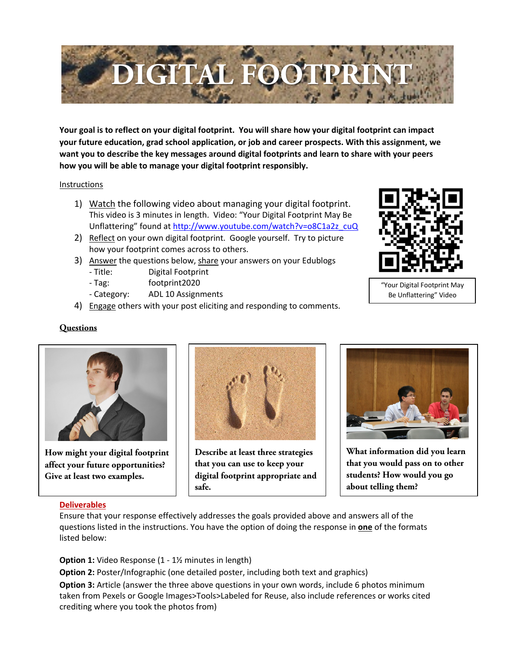

**Your goal is to reflect on your digital footprint. You will share how your digital footprint can impact your future education, grad school application, or job and career prospects. With this assignment, we want you to describe the key messages around digital footprints and learn to share with your peers how you will be able to manage your digital footprint responsibly.**

## **Instructions**

- 1) Watch the following video about managing your digital footprint. This video is 3 minutes in length. Video: "Your Digital Footprint May Be Unflattering" found at http://www.youtube.com/watch?v=o8C1a2z\_cuQ
- 2) Reflect on your own digital footprint. Google yourself. Try to picture how your footprint comes across to others.
- 3) Answer the questions below, share your answers on your Edublogs - Title: Digital Footprint
	- Tag: footprint2020
	- Category: ADL 10 Assignments
- 4) Engage others with your post eliciting and responding to comments.



"Your Digital Footprint May Be Unflattering" Video

## **Questions**



**How might your digital footprint affect your future opportunities? Give at least two examples.**



**Describe at least three strategies that you can use to keep your digital footprint appropriate and safe.**



**What information did you learn that you would pass on to other students? How would you go about telling them?**

## **Deliverables**

Ensure that your response effectively addresses the goals provided above and answers all of the questions listed in the instructions. You have the option of doing the response in **one** of the formats listed below:

**Option 1:** Video Response (1 - 1½ minutes in length)

**Option 2:** Poster/Infographic (one detailed poster, including both text and graphics) **Option 3:** Article (answer the three above questions in your own words, include 6 photos minimum taken from Pexels or Google Images>Tools>Labeled for Reuse, also include references or works cited crediting where you took the photos from)